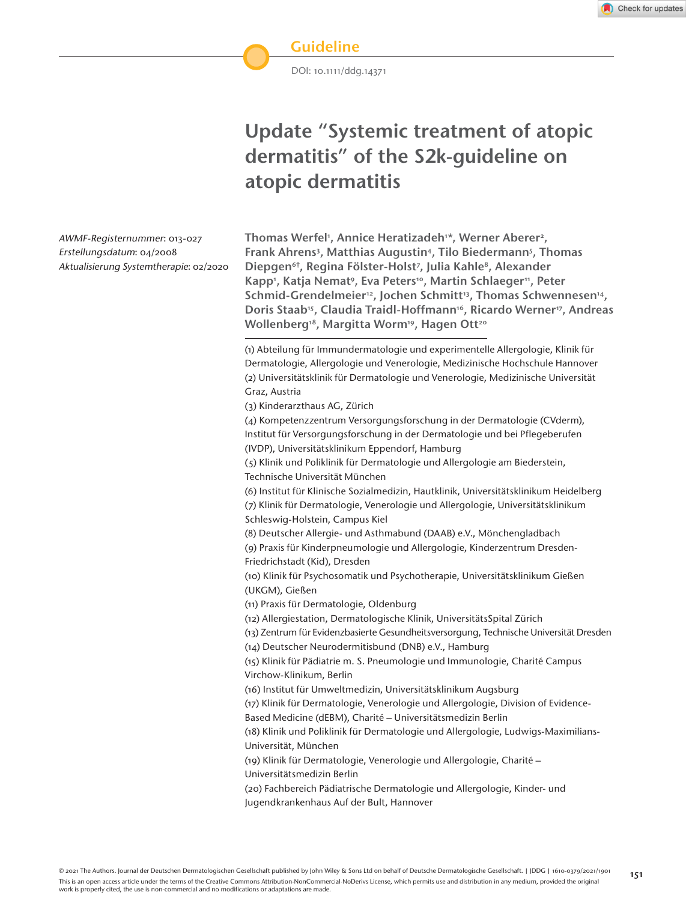DOI: 10.1111/ddg.14371

# **Update "Systemic treatment of atopic dermatitis" of the S2k-guideline on atopic dermatitis**

AWMF-Registernummer: 013-027 Erstellungsdatum: 04/2008 Aktualisierung Systemtherapie: 02/2020

Thomas Werfel', Annice Heratizadeh'\*, Werner Aberer<del>'</del>, Frank Ahrens<sup>3</sup>, Matthias Augustin<sup>4</sup>, Tilo Biedermann<sup>5</sup>, Thomas Diepgen<sup>6†</sup>, Regina Fölster-Holst<sup>7</sup>, Julia Kahle<sup>8</sup>, Alexander Kapp', Katja Nematº, Eva Peters1º, Martin Schlaeger11, Peter Schmid-Grendelmeier<sup>12</sup>, Jochen Schmitt<sup>13</sup>, Thomas Schwennesen<sup>14</sup>, Doris Staab<sup>15</sup>, Claudia Traidl-Hoffmann<sup>16</sup>, Ricardo Werner<sup>17</sup>, Andreas Wollenberg<sup>18</sup>, Margitta Worm<sup>19</sup>, Hagen Ott<sup>20</sup>

(1) Abteilung für Immundermatologie und experimentelle Allergologie, Klinik für Dermatologie, Allergologie und Venerologie, Medizinische Hochschule Hannover (2) Universitätsklinik für Dermatologie und Venerologie, Medizinische Universität Graz, Austria

(3) Kinderarzthaus AG, Zürich

(4) Kompetenzzentrum Versorgungsforschung in der Dermatologie (CVderm), Institut für Versorgungsforschung in der Dermatologie und bei Pflegeberufen (IVDP), Universitätsklinikum Eppendorf, Hamburg

(5) Klinik und Poliklinik für Dermatologie und Allergologie am Biederstein, Technische Universität München

(6) Institut für Klinische Sozialmedizin, Hautklinik, Universitätsklinikum Heidelberg (7) Klinik für Dermatologie, Venerologie und Allergologie, Universitätsklinikum

Schleswig-Holstein, Campus Kiel

(8) Deutscher Allergie- und Asthmabund (DAAB) e.V., Mönchengladbach

(9) Praxis für Kinderpneumologie und Allergologie, Kinderzentrum Dresden-Friedrichstadt (Kid), Dresden

(10) Klinik für Psychosomatik und Psychotherapie, Universitätsklinikum Gießen (UKGM), Gießen

(11) Praxis für Dermatologie, Oldenburg

(12) Allergiestation, Dermatologische Klinik, UniversitätsSpital Zürich

(13) Zentrum für Evidenzbasierte Gesundheitsversorgung, Technische Universität Dresden

(14) Deutscher Neurodermitisbund (DNB) e.V., Hamburg

(15) Klinik für Pädiatrie m. S. Pneumologie und Immunologie, Charité Campus Virchow-Klinikum, Berlin

(16) Institut für Umweltmedizin, Universitätsklinikum Augsburg

(17) Klinik für Dermatologie, Venerologie und Allergologie, Division of Evidence-

Based Medicine (dEBM), Charité – Universitätsmedizin Berlin

(18) Klinik und Poliklinik für Dermatologie und Allergologie, Ludwigs-Maximilians-Universität, München

(19) Klinik für Dermatologie, Venerologie und Allergologie, Charité – Universitätsmedizin Berlin

(20) Fachbereich Pädiatrische Dermatologie und Allergologie, Kinder- und Jugendkrankenhaus Auf der Bult, Hannover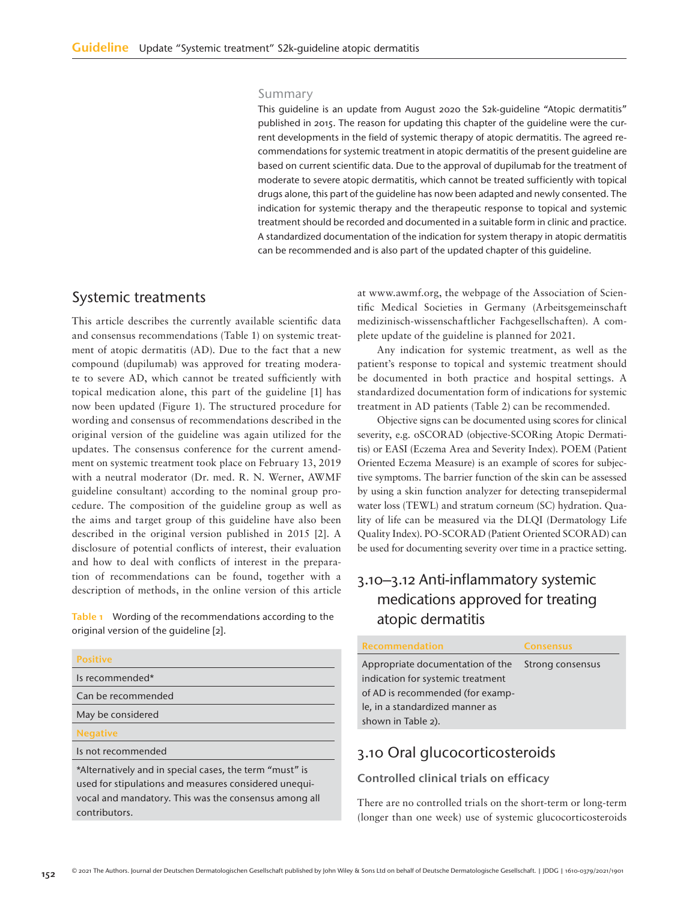#### Summary

This guideline is an update from August 2020 the S2k-guideline "Atopic dermatitis" published in 2015. The reason for updating this chapter of the guideline were the current developments in the field of systemic therapy of atopic dermatitis. The agreed recommendations for systemic treatment in atopic dermatitis of the present guideline are based on current scientific data. Due to the approval of dupilumab for the treatment of moderate to severe atopic dermatitis, which cannot be treated sufficiently with topical drugs alone, this part of the guideline has now been adapted and newly consented. The indication for systemic therapy and the therapeutic response to topical and systemic treatment should be recorded and documented in a suitable form in clinic and practice. A standardized documentation of the indication for system therapy in atopic dermatitis can be recommended and is also part of the updated chapter of this guideline.

### Systemic treatments

This article describes the currently available scientific data and consensus recommendations (Table 1) on systemic treatment of atopic dermatitis (AD). Due to the fact that a new compound (dupilumab) was approved for treating moderate to severe AD, which cannot be treated sufficiently with topical medication alone, this part of the guideline [1] has now been updated (Figure 1). The structured procedure for wording and consensus of recommendations described in the original version of the guideline was again utilized for the updates. The consensus conference for the current amendment on systemic treatment took place on February 13, 2019 with a neutral moderator (Dr. med. R. N. Werner, AWMF guideline consultant) according to the nominal group procedure. The composition of the guideline group as well as the aims and target group of this guideline have also been described in the original version published in 2015 [2]. A disclosure of potential conflicts of interest, their evaluation and how to deal with conflicts of interest in the preparation of recommendations can be found, together with a description of methods, in the online version of this article

Table 1 Wording of the recommendations according to the original version of the guideline [2].

#### Positive

| Is recommended*    |
|--------------------|
| Can be recommended |
| May be considered  |
| <b>Negative</b>    |
| Is not recommended |
|                    |

\*Alternatively and in special cases, the term "must" is used for stipulations and measures considered unequivocal and mandatory. This was the consensus among all contributors.

at www.awmf.org, the webpage of the Association of Scientific Medical Societies in Germany (Arbeitsgemeinschaft medizinisch-wissenschaftlicher Fachgesellschaften). A complete update of the guideline is planned for 2021.

Any indication for systemic treatment, as well as the patient's response to topical and systemic treatment should be documented in both practice and hospital settings. A standardized documentation form of indications for systemic treatment in AD patients (Table 2) can be recommended.

Objective signs can be documented using scores for clinical severity, e.g. oSCORAD (objective-SCORing Atopic Dermatitis) or EASI (Eczema Area and Severity Index). POEM (Patient Oriented Eczema Measure) is an example of scores for subjective symptoms. The barrier function of the skin can be assessed by using a skin function analyzer for detecting transepidermal water loss (TEWL) and stratum corneum (SC) hydration. Quality of life can be measured via the DLQI (Dermatology Life Quality Index). PO-SCORAD (Patient Oriented SCORAD) can be used for documenting severity over time in a practice setting.

# 3.10–3.12 Anti-inflammatory systemic medications approved for treating atopic dermatitis

| Recommendation                    | <b>Consensus</b> |
|-----------------------------------|------------------|
| Appropriate documentation of the  | Strong consensus |
| indication for systemic treatment |                  |
| of AD is recommended (for examp-  |                  |
| le, in a standardized manner as   |                  |
| shown in Table 2).                |                  |

# 3.10 Oral glucocorticosteroids

### Controlled clinical trials on efficacy

There are no controlled trials on the short-term or long-term (longer than one week) use of systemic glucocorticosteroids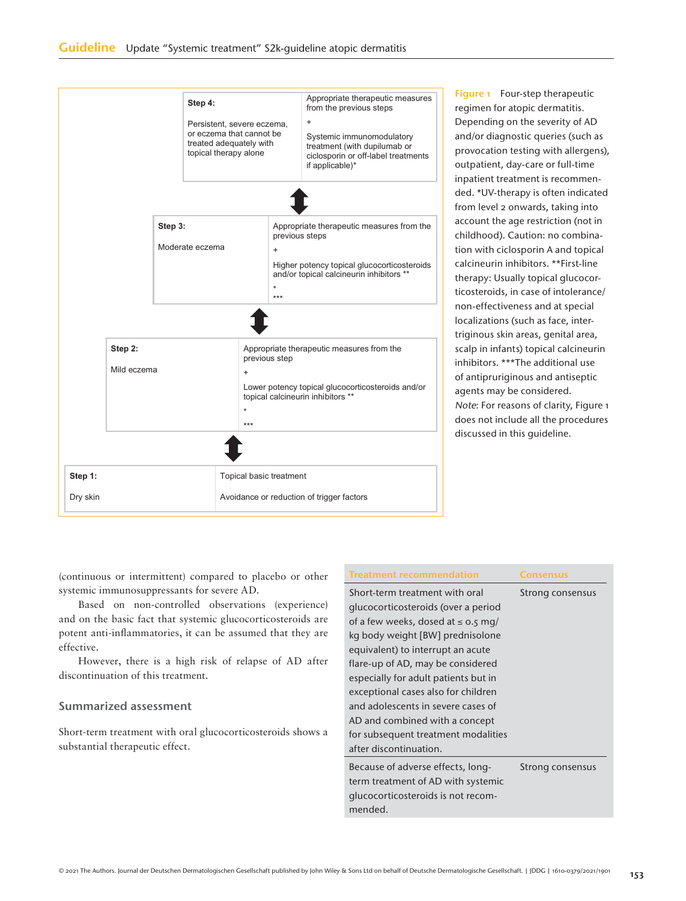|                                                |                                                                      |       | Step 4:<br>Persistent, severe eczema,<br>or eczema that cannot be<br>treated adequately with<br>topical therapy alone |                                                                                                                                      |  | Appropriate therapeutic measures<br>from the previous steps<br>$\ddot{}$<br>Systemic immunomodulatory<br>treatment (with dupilumab or<br>ciclosporin or off-label treatments<br>if applicable)* |
|------------------------------------------------|----------------------------------------------------------------------|-------|-----------------------------------------------------------------------------------------------------------------------|--------------------------------------------------------------------------------------------------------------------------------------|--|-------------------------------------------------------------------------------------------------------------------------------------------------------------------------------------------------|
|                                                | Step 3:<br>Moderate eczema                                           |       | previous steps<br>$+$<br>$\star$<br>***                                                                               | Appropriate therapeutic measures from the<br>Higher potency topical glucocorticosteroids<br>and/or topical calcineurin inhibitors ** |  |                                                                                                                                                                                                 |
| Step 2:<br>Mild eczema<br>$\ddot{}$<br>$\star$ |                                                                      | $***$ | previous step                                                                                                         | Appropriate therapeutic measures from the<br>Lower potency topical glucocorticosteroids and/or<br>topical calcineurin inhibitors **  |  |                                                                                                                                                                                                 |
|                                                |                                                                      |       |                                                                                                                       |                                                                                                                                      |  |                                                                                                                                                                                                 |
| Step 1:<br>Dry skin                            | Topical basic treatment<br>Avoidance or reduction of trigger factors |       |                                                                                                                       |                                                                                                                                      |  |                                                                                                                                                                                                 |

Figure 1 Four-step therapeutic regimen for atopic dermatitis. Depending on the severity of AD and/or diagnostic queries (such as provocation testing with allergens), outpatient, day-care or full-time inpatient treatment is recommended. \*UV-therapy is often indicated from level 2 onwards, taking into account the age restriction (not in childhood). Caution: no combination with ciclosporin A and topical calcineurin inhibitors. \*\*First-line therapy: Usually topical glucocorticosteroids, in case of intolerance/ non-effectiveness and at special localizations (such as face, intertriginous skin areas, genital area, scalp in infants) topical calcineurin inhibitors. \*\*\*The additional use of antipruriginous and antiseptic agents may be considered. Note: For reasons of clarity, Figure 1 does not include all the procedures discussed in this guideline.

(continuous or intermittent) compared to placebo or other systemic immunosuppressants for severe AD.

Based on non-controlled observations (experience) and on the basic fact that systemic glucocorticosteroids are potent anti-inflammatories, it can be assumed that they are effective.

However, there is a high risk of relapse of AD after discontinuation of this treatment.

### Summarized assessment

Short-term treatment with oral glucocorticosteroids shows a substantial therapeutic effect.

| Treatment recommendation                | Consensus        |
|-----------------------------------------|------------------|
| Short-term treatment with oral          | Strong consensus |
| glucocorticosteroids (over a period     |                  |
| of a few weeks, dosed at $\leq$ 0.5 mg/ |                  |
| kg body weight [BW] prednisolone        |                  |
| equivalent) to interrupt an acute       |                  |
| flare-up of AD, may be considered       |                  |
| especially for adult patients but in    |                  |
| exceptional cases also for children     |                  |
| and adolescents in severe cases of      |                  |
| AD and combined with a concept          |                  |
| for subsequent treatment modalities     |                  |
| after discontinuation.                  |                  |
| Because of adverse effects, long-       | Strong consensus |
| term treatment of AD with systemic      |                  |
| qlucocorticosteroids is not recom-      |                  |
| mended.                                 |                  |
|                                         |                  |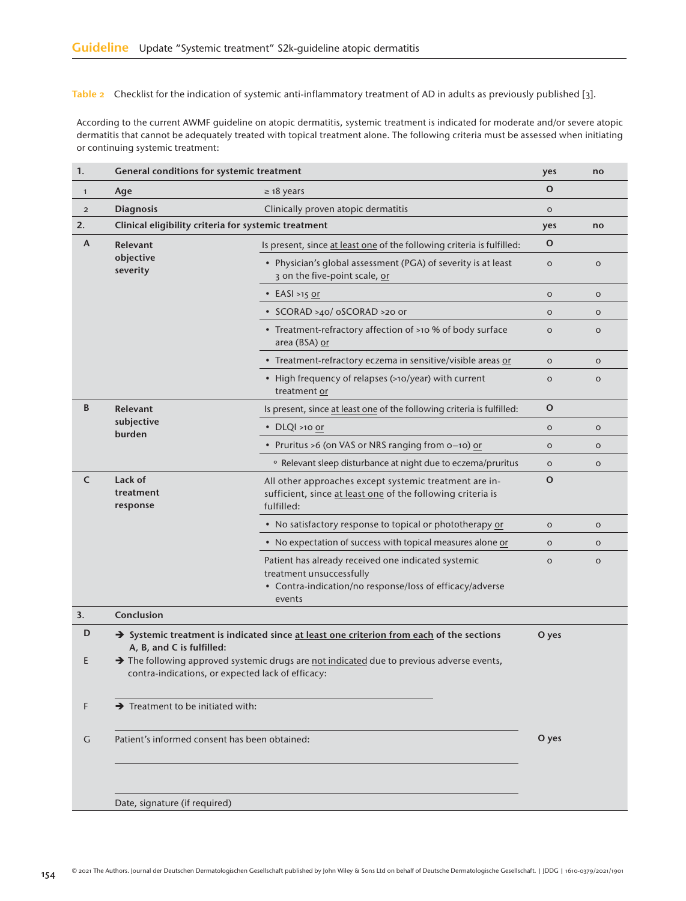Table 2 Checklist for the indication of systemic anti-inflammatory treatment of AD in adults as previously published [3].

According to the current AWMF guideline on atopic dermatitis, systemic treatment is indicated for moderate and/or severe atopic dermatitis that cannot be adequately treated with topical treatment alone. The following criteria must be assessed when initiating or continuing systemic treatment:

| 1.                                    | <b>General conditions for systemic treatment</b>                                                                                                      |                                                                                                                                     |              | no           |
|---------------------------------------|-------------------------------------------------------------------------------------------------------------------------------------------------------|-------------------------------------------------------------------------------------------------------------------------------------|--------------|--------------|
| $\mathbf{1}$                          | $\geq$ 18 years<br>Age                                                                                                                                |                                                                                                                                     | $\mathbf O$  |              |
| $\overline{2}$                        | <b>Diagnosis</b>                                                                                                                                      | Clinically proven atopic dermatitis                                                                                                 | $\mathsf O$  |              |
| 2.                                    | Clinical eligibility criteria for systemic treatment                                                                                                  |                                                                                                                                     | yes          | no           |
| A                                     | <b>Relevant</b>                                                                                                                                       | Is present, since at least one of the following criteria is fulfilled:                                                              | $\mathbf{o}$ |              |
|                                       | objective<br>severity                                                                                                                                 | • Physician's global assessment (PGA) of severity is at least<br>3 on the five-point scale, or                                      | $\mathbf O$  | $\mathbf O$  |
|                                       |                                                                                                                                                       | $\cdot$ EASI >15 or                                                                                                                 | $\circ$      | $\mathbf O$  |
|                                       |                                                                                                                                                       | • SCORAD >40/ oSCORAD >20 or                                                                                                        | $\mathbf O$  | $\mathsf O$  |
|                                       |                                                                                                                                                       | • Treatment-refractory affection of >10 % of body surface<br>area (BSA) or                                                          | $\mathbf O$  | $\mathsf{o}$ |
|                                       |                                                                                                                                                       | • Treatment-refractory eczema in sensitive/visible areas or                                                                         | $\mathsf O$  | $\mathsf O$  |
|                                       |                                                                                                                                                       | • High frequency of relapses (>10/year) with current<br>treatment or                                                                | $\mathbf O$  | $\mathsf O$  |
| B                                     | Relevant                                                                                                                                              | Is present, since at least one of the following criteria is fulfilled:                                                              | $\mathbf{o}$ |              |
|                                       | subjective<br>burden                                                                                                                                  | $\cdot$ DLQI >10 or                                                                                                                 | $\mathsf{o}$ | $\mathbf O$  |
|                                       |                                                                                                                                                       | • Pruritus >6 (on VAS or NRS ranging from o-10) or                                                                                  | $\circ$      | $\mathbf O$  |
|                                       |                                                                                                                                                       | <sup>o</sup> Relevant sleep disturbance at night due to eczema/pruritus                                                             | $\mathsf O$  | $\mathsf{o}$ |
| C<br>Lack of<br>treatment<br>response |                                                                                                                                                       | All other approaches except systemic treatment are in-<br>sufficient, since at least one of the following criteria is<br>fulfilled: | $\mathbf O$  |              |
|                                       |                                                                                                                                                       | • No satisfactory response to topical or phototherapy or                                                                            | $\mathbf O$  | $\mathbf O$  |
|                                       | • No expectation of success with topical measures alone or                                                                                            |                                                                                                                                     | $\mathbf O$  | $\mathsf O$  |
|                                       | Patient has already received one indicated systemic<br>treatment unsuccessfully<br>• Contra-indication/no response/loss of efficacy/adverse<br>events |                                                                                                                                     |              | $\mathsf O$  |
| 3.                                    | Conclusion                                                                                                                                            |                                                                                                                                     |              |              |
| D                                     | → Systemic treatment is indicated since at least one criterion from each of the sections<br>O yes<br>A, B, and C is fulfilled:                        |                                                                                                                                     |              |              |
| Ε                                     | > The following approved systemic drugs are not indicated due to previous adverse events,<br>contra-indications, or expected lack of efficacy:        |                                                                                                                                     |              |              |
| F                                     | $\rightarrow$ Treatment to be initiated with:                                                                                                         |                                                                                                                                     |              |              |
| G                                     | Patient's informed consent has been obtained:                                                                                                         |                                                                                                                                     | O yes        |              |
|                                       | Date, signature (if required)                                                                                                                         |                                                                                                                                     |              |              |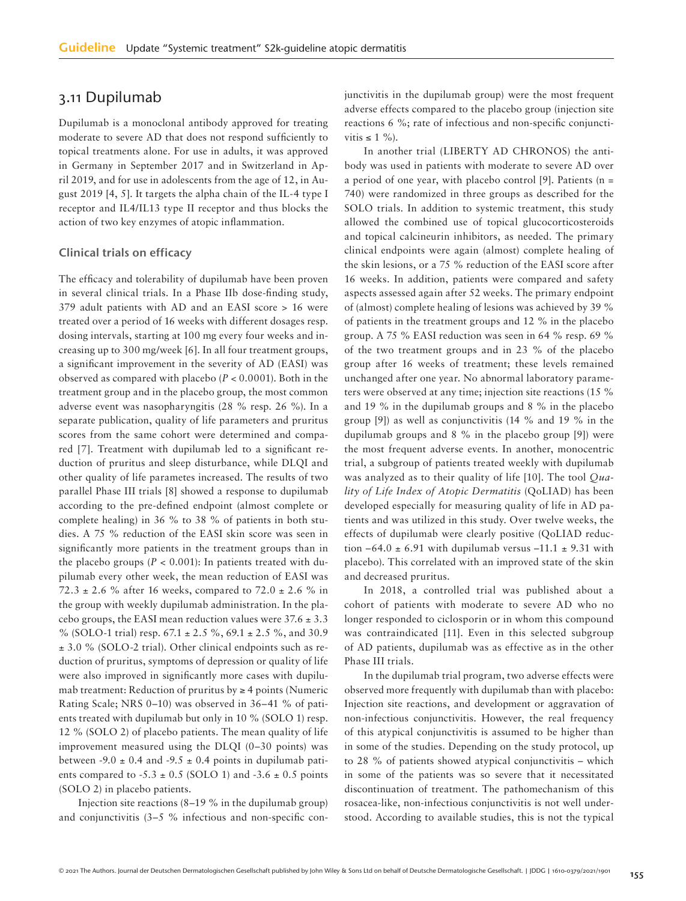# 3.11 Dupilumab

Dupilumab is a monoclonal antibody approved for treating moderate to severe AD that does not respond sufficiently to topical treatments alone. For use in adults, it was approved in Germany in September 2017 and in Switzerland in April 2019, and for use in adolescents from the age of 12, in August 2019 [4, 5]. It targets the alpha chain of the IL-4 type I receptor and IL4/IL13 type II receptor and thus blocks the action of two key enzymes of atopic inflammation.

### Clinical trials on efficacy

The efficacy and tolerability of dupilumab have been proven in several clinical trials. In a Phase IIb dose-finding study, 379 adult patients with AD and an EASI score > 16 were treated over a period of 16 weeks with different dosages resp. dosing intervals, starting at 100 mg every four weeks and increasing up to 300 mg/week [6]. In all four treatment groups, a significant improvement in the severity of AD (EASI) was observed as compared with placebo (*P* < 0.0001). Both in the treatment group and in the placebo group, the most common adverse event was nasopharyngitis (28 % resp. 26 %). In a separate publication, quality of life parameters and pruritus scores from the same cohort were determined and compared [7]. Treatment with dupilumab led to a significant reduction of pruritus and sleep disturbance, while DLQI and other quality of life parametes increased. The results of two parallel Phase III trials [8] showed a response to dupilumab according to the pre-defined endpoint (almost complete or complete healing) in 36 % to 38 % of patients in both studies. A 75 % reduction of the EASI skin score was seen in significantly more patients in the treatment groups than in the placebo groups  $(P < 0.001)$ : In patients treated with dupilumab every other week, the mean reduction of EASI was 72.3  $\pm$  2.6 % after 16 weeks, compared to 72.0  $\pm$  2.6 % in the group with weekly dupilumab administration. In the placebo groups, the EASI mean reduction values were  $37.6 \pm 3.3$ % (SOLO-1 trial) resp.  $67.1 \pm 2.5$  %,  $69.1 \pm 2.5$  %, and 30.9 ± 3.0 % (SOLO-2 trial). Other clinical endpoints such as reduction of pruritus, symptoms of depression or quality of life were also improved in significantly more cases with dupilumab treatment: Reduction of pruritus by  $\geq 4$  points (Numeric Rating Scale; NRS 0–10) was observed in 36–41 % of patients treated with dupilumab but only in 10 % (SOLO 1) resp. 12 % (SOLO 2) of placebo patients. The mean quality of life improvement measured using the DLQI (0–30 points) was between -9.0  $\pm$  0.4 and -9.5  $\pm$  0.4 points in dupilumab patients compared to  $-5.3 \pm 0.5$  (SOLO 1) and  $-3.6 \pm 0.5$  points (SOLO 2) in placebo patients.

Injection site reactions (8–19 % in the dupilumab group) and conjunctivitis (3–5 % infectious and non-specific conjunctivitis in the dupilumab group) were the most frequent adverse effects compared to the placebo group (injection site reactions 6 %; rate of infectious and non-specific conjunctivitis  $\leq 1\%$ ).

In another trial (LIBERTY AD CHRONOS) the antibody was used in patients with moderate to severe AD over a period of one year, with placebo control [9]. Patients ( $n =$ 740) were randomized in three groups as described for the SOLO trials. In addition to systemic treatment, this study allowed the combined use of topical glucocorticosteroids and topical calcineurin inhibitors, as needed. The primary clinical endpoints were again (almost) complete healing of the skin lesions, or a 75 % reduction of the EASI score after 16 weeks. In addition, patients were compared and safety aspects assessed again after 52 weeks. The primary endpoint of (almost) complete healing of lesions was achieved by 39 % of patients in the treatment groups and 12 % in the placebo group. A 75 % EASI reduction was seen in 64 % resp. 69 % of the two treatment groups and in 23 % of the placebo group after 16 weeks of treatment; these levels remained unchanged after one year. No abnormal laboratory parameters were observed at any time; injection site reactions (15 % and 19 % in the dupilumab groups and 8 % in the placebo group [9]) as well as conjunctivitis (14 % and 19 % in the dupilumab groups and 8 % in the placebo group [9]) were the most frequent adverse events. In another, monocentric trial, a subgroup of patients treated weekly with dupilumab was analyzed as to their quality of life [10]. The tool *Quality of Life Index of Atopic Dermatitis* (QoLIAD) has been developed especially for measuring quality of life in AD patients and was utilized in this study. Over twelve weeks, the effects of dupilumab were clearly positive (QoLIAD reduction  $-64.0 \pm 6.91$  with dupilumab versus  $-11.1 \pm 9.31$  with placebo). This correlated with an improved state of the skin and decreased pruritus.

In 2018, a controlled trial was published about a cohort of patients with moderate to severe AD who no longer responded to ciclosporin or in whom this compound was contraindicated [11]. Even in this selected subgroup of AD patients, dupilumab was as effective as in the other Phase III trials.

In the dupilumab trial program, two adverse effects were observed more frequently with dupilumab than with placebo: Injection site reactions, and development or aggravation of non-infectious conjunctivitis. However, the real frequency of this atypical conjunctivitis is assumed to be higher than in some of the studies. Depending on the study protocol, up to 28 % of patients showed atypical conjunctivitis – which in some of the patients was so severe that it necessitated discontinuation of treatment. The pathomechanism of this rosacea-like, non-infectious conjunctivitis is not well understood. According to available studies, this is not the typical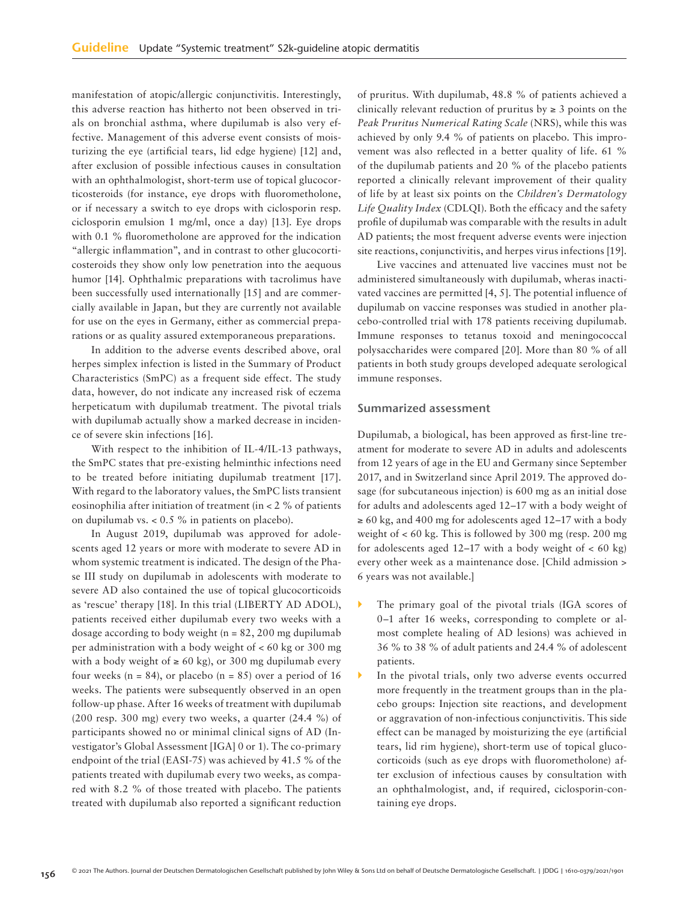manifestation of atopic/allergic conjunctivitis. Interestingly, this adverse reaction has hitherto not been observed in trials on bronchial asthma, where dupilumab is also very effective. Management of this adverse event consists of moisturizing the eye (artificial tears, lid edge hygiene) [12] and, after exclusion of possible infectious causes in consultation with an ophthalmologist, short-term use of topical glucocorticosteroids (for instance, eye drops with fluorometholone, or if necessary a switch to eye drops with ciclosporin resp. ciclosporin emulsion 1 mg/ml, once a day) [13]. Eye drops with 0.1 % fluorometholone are approved for the indication "allergic inflammation", and in contrast to other glucocorticosteroids they show only low penetration into the aequous humor [14]. Ophthalmic preparations with tacrolimus have been successfully used internationally [15] and are commercially available in Japan, but they are currently not available for use on the eyes in Germany, either as commercial preparations or as quality assured extemporaneous preparations.

In addition to the adverse events described above, oral herpes simplex infection is listed in the Summary of Product Characteristics (SmPC) as a frequent side effect. The study data, however, do not indicate any increased risk of eczema herpeticatum with dupilumab treatment. The pivotal trials with dupilumab actually show a marked decrease in incidence of severe skin infections [16].

With respect to the inhibition of IL-4/IL-13 pathways, the SmPC states that pre-existing helminthic infections need to be treated before initiating dupilumab treatment [17]. With regard to the laboratory values, the SmPC lists transient eosinophilia after initiation of treatment (in < 2 % of patients on dupilumab vs. < 0.5 % in patients on placebo).

In August 2019, dupilumab was approved for adolescents aged 12 years or more with moderate to severe AD in whom systemic treatment is indicated. The design of the Phase III study on dupilumab in adolescents with moderate to severe AD also contained the use of topical glucocorticoids as 'rescue' therapy [18]. In this trial (LIBERTY AD ADOL), patients received either dupilumab every two weeks with a dosage according to body weight (n = 82, 200 mg dupilumab per administration with a body weight of < 60 kg or 300 mg with a body weight of  $\geq 60$  kg), or 300 mg dupilumab every four weeks ( $n = 84$ ), or placebo ( $n = 85$ ) over a period of 16 weeks. The patients were subsequently observed in an open follow-up phase. After 16 weeks of treatment with dupilumab (200 resp. 300 mg) every two weeks, a quarter (24.4 %) of participants showed no or minimal clinical signs of AD (Investigator's Global Assessment [IGA] 0 or 1). The co-primary endpoint of the trial (EASI-75) was achieved by 41.5 % of the patients treated with dupilumab every two weeks, as compared with 8.2 % of those treated with placebo. The patients treated with dupilumab also reported a significant reduction of pruritus. With dupilumab, 48.8 % of patients achieved a clinically relevant reduction of pruritus by  $\geq 3$  points on the *Peak Pruritus Numerical Rating Scale* (NRS), while this was achieved by only 9.4 % of patients on placebo. This improvement was also reflected in a better quality of life. 61 % of the dupilumab patients and 20 % of the placebo patients reported a clinically relevant improvement of their quality of life by at least six points on the *Children's Dermatology Life Quality Index* (CDLQI). Both the efficacy and the safety profile of dupilumab was comparable with the results in adult AD patients; the most frequent adverse events were injection site reactions, conjunctivitis, and herpes virus infections [19].

Live vaccines and attenuated live vaccines must not be administered simultaneously with dupilumab, wheras inactivated vaccines are permitted [4, 5]. The potential influence of dupilumab on vaccine responses was studied in another placebo-controlled trial with 178 patients receiving dupilumab. Immune responses to tetanus toxoid and meningococcal polysaccharides were compared [20]. More than 80 % of all patients in both study groups developed adequate serological immune responses.

### Summarized assessment

Dupilumab, a biological, has been approved as first-line treatment for moderate to severe AD in adults and adolescents from 12 years of age in the EU and Germany since September 2017, and in Switzerland since April 2019. The approved dosage (for subcutaneous injection) is 600 mg as an initial dose for adults and adolescents aged 12–17 with a body weight of  $\geq 60$  kg, and 400 mg for adolescents aged 12–17 with a body weight of  $< 60 \text{ kg}$ . This is followed by 300 mg (resp. 200 mg) for adolescents aged  $12-17$  with a body weight of  $<60$  kg) every other week as a maintenance dose. [Child admission > 6 years was not available.]

- The primary goal of the pivotal trials (IGA scores of 0–1 after 16 weeks, corresponding to complete or almost complete healing of AD lesions) was achieved in 36 % to 38 % of adult patients and 24.4 % of adolescent patients.
- In the pivotal trials, only two adverse events occurred more frequently in the treatment groups than in the placebo groups: Injection site reactions, and development or aggravation of non-infectious conjunctivitis. This side effect can be managed by moisturizing the eye (artificial tears, lid rim hygiene), short-term use of topical glucocorticoids (such as eye drops with fluorometholone) after exclusion of infectious causes by consultation with an ophthalmologist, and, if required, ciclosporin-containing eye drops.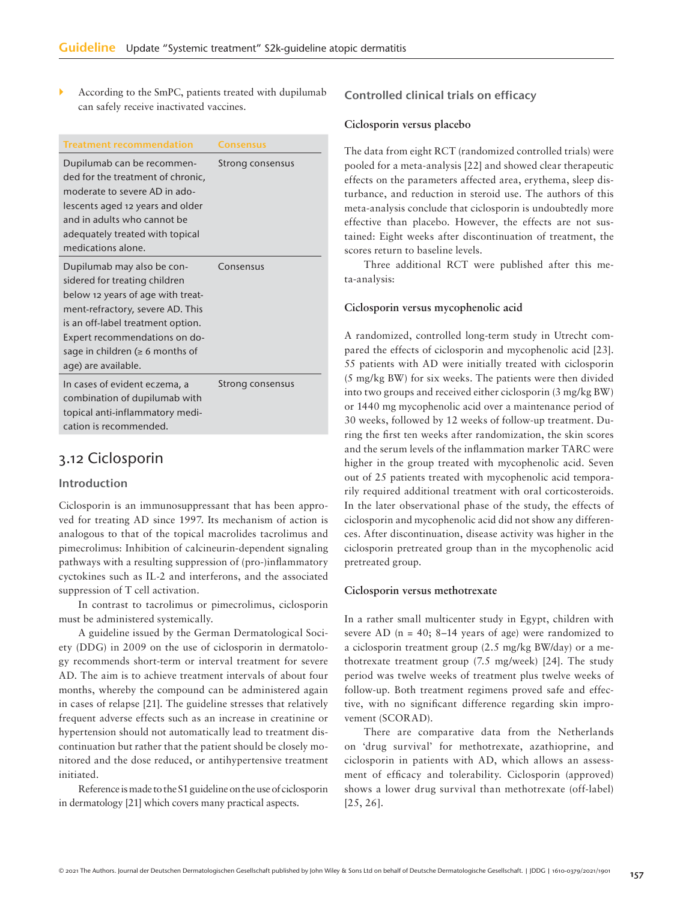According to the SmPC, patients treated with dupilumab can safely receive inactivated vaccines.

| <b>Treatment recommendation</b>                                                                                                                                                                                                                                            | <b>Consensus</b> |
|----------------------------------------------------------------------------------------------------------------------------------------------------------------------------------------------------------------------------------------------------------------------------|------------------|
| Dupilumab can be recommen-<br>ded for the treatment of chronic,<br>moderate to severe AD in ado-<br>lescents aged 12 years and older<br>and in adults who cannot be<br>adequately treated with topical<br>medications alone.                                               | Strong consensus |
| Dupilumab may also be con-<br>sidered for treating children<br>below 12 years of age with treat-<br>ment-refractory, severe AD. This<br>is an off-label treatment option.<br>Expert recommendations on do-<br>sage in children ( $\geq 6$ months of<br>age) are available. | Consensus        |
| In cases of evident eczema, a<br>combination of dupilumab with<br>topical anti-inflammatory medi-<br>cation is recommended.                                                                                                                                                | Strong consensus |

# 3.12 Ciclosporin

### Introduction

Ciclosporin is an immunosuppressant that has been approved for treating AD since 1997. Its mechanism of action is analogous to that of the topical macrolides tacrolimus and pimecrolimus: Inhibition of calcineurin-dependent signaling pathways with a resulting suppression of (pro-)inflammatory cyctokines such as IL-2 and interferons, and the associated suppression of T cell activation.

In contrast to tacrolimus or pimecrolimus, ciclosporin must be administered systemically.

A guideline issued by the German Dermatological Society (DDG) in 2009 on the use of ciclosporin in dermatology recommends short-term or interval treatment for severe AD. The aim is to achieve treatment intervals of about four months, whereby the compound can be administered again in cases of relapse [21]. The guideline stresses that relatively frequent adverse effects such as an increase in creatinine or hypertension should not automatically lead to treatment discontinuation but rather that the patient should be closely monitored and the dose reduced, or antihypertensive treatment initiated.

Reference is made to the S1 guideline on the use of ciclosporin in dermatology [21] which covers many practical aspects.

### Controlled clinical trials on efficacy

### **Ciclosporin versus placebo**

The data from eight RCT (randomized controlled trials) were pooled for a meta-analysis [22] and showed clear therapeutic effects on the parameters affected area, erythema, sleep disturbance, and reduction in steroid use. The authors of this meta-analysis conclude that ciclosporin is undoubtedly more effective than placebo. However, the effects are not sustained: Eight weeks after discontinuation of treatment, the scores return to baseline levels.

Three additional RCT were published after this meta-analysis:

### **Ciclosporin versus mycophenolic acid**

A randomized, controlled long-term study in Utrecht compared the effects of ciclosporin and mycophenolic acid [23]. 55 patients with AD were initially treated with ciclosporin (5 mg/kg BW) for six weeks. The patients were then divided into two groups and received either ciclosporin (3 mg/kg BW) or 1440 mg mycophenolic acid over a maintenance period of 30 weeks, followed by 12 weeks of follow-up treatment. During the first ten weeks after randomization, the skin scores and the serum levels of the inflammation marker TARC were higher in the group treated with mycophenolic acid. Seven out of 25 patients treated with mycophenolic acid temporarily required additional treatment with oral corticosteroids. In the later observational phase of the study, the effects of ciclosporin and mycophenolic acid did not show any differences. After discontinuation, disease activity was higher in the ciclosporin pretreated group than in the mycophenolic acid pretreated group.

### **Ciclosporin versus methotrexate**

In a rather small multicenter study in Egypt, children with severe AD  $(n = 40; 8-14$  years of age) were randomized to a ciclosporin treatment group (2.5 mg/kg BW/day) or a methotrexate treatment group (7.5 mg/week) [24]. The study period was twelve weeks of treatment plus twelve weeks of follow-up. Both treatment regimens proved safe and effective, with no significant difference regarding skin improvement (SCORAD).

There are comparative data from the Netherlands on 'drug survival' for methotrexate, azathioprine, and ciclosporin in patients with AD, which allows an assessment of efficacy and tolerability. Ciclosporin (approved) shows a lower drug survival than methotrexate (off-label) [25, 26].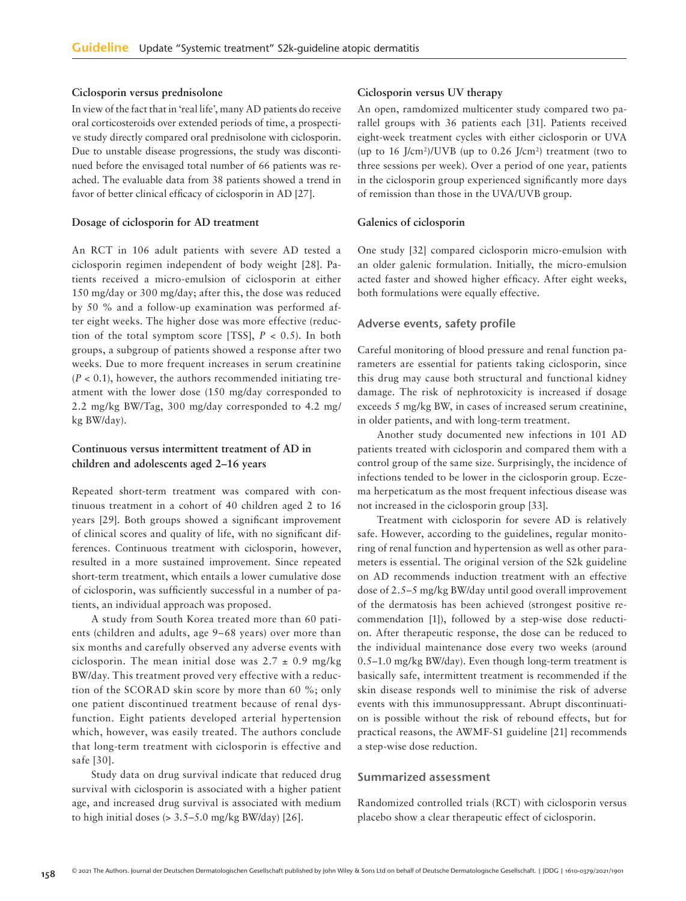### **Ciclosporin versus prednisolone**

In view of the fact that in 'real life', many AD patients do receive oral corticosteroids over extended periods of time, a prospective study directly compared oral prednisolone with ciclosporin. Due to unstable disease progressions, the study was discontinued before the envisaged total number of 66 patients was reached. The evaluable data from 38 patients showed a trend in favor of better clinical efficacy of ciclosporin in AD [27].

### **Dosage of ciclosporin for AD treatment**

An RCT in 106 adult patients with severe AD tested a ciclosporin regimen independent of body weight [28]. Patients received a micro-emulsion of ciclosporin at either 150 mg/day or 300 mg/day; after this, the dose was reduced by 50 % and a follow-up examination was performed after eight weeks. The higher dose was more effective (reduction of the total symptom score [TSS], *P* < 0.5). In both groups, a subgroup of patients showed a response after two weeks. Due to more frequent increases in serum creatinine  $(P < 0.1)$ , however, the authors recommended initiating treatment with the lower dose (150 mg/day corresponded to 2.2 mg/kg BW/Tag, 300 mg/day corresponded to 4.2 mg/ kg BW/day).

### **Continuous versus intermittent treatment of AD in children and adolescents aged 2–16 years**

Repeated short-term treatment was compared with continuous treatment in a cohort of 40 children aged 2 to 16 years [29]. Both groups showed a significant improvement of clinical scores and quality of life, with no significant differences. Continuous treatment with ciclosporin, however, resulted in a more sustained improvement. Since repeated short-term treatment, which entails a lower cumulative dose of ciclosporin, was sufficiently successful in a number of patients, an individual approach was proposed.

A study from South Korea treated more than 60 patients (children and adults, age 9–68 years) over more than six months and carefully observed any adverse events with ciclosporin. The mean initial dose was  $2.7 \pm 0.9$  mg/kg BW/day. This treatment proved very effective with a reduction of the SCORAD skin score by more than 60 %; only one patient discontinued treatment because of renal dysfunction. Eight patients developed arterial hypertension which, however, was easily treated. The authors conclude that long-term treatment with ciclosporin is effective and safe [30].

Study data on drug survival indicate that reduced drug survival with ciclosporin is associated with a higher patient age, and increased drug survival is associated with medium to high initial doses  $(> 3.5-5.0 \text{ mg/kg BW/day})$  [26].

### **Ciclosporin versus UV therapy**

An open, ramdomized multicenter study compared two parallel groups with 36 patients each [31]. Patients received eight-week treatment cycles with either ciclosporin or UVA (up to 16 J/cm<sup>2</sup>)/UVB (up to 0.26 J/cm<sup>2</sup>) treatment (two to three sessions per week). Over a period of one year, patients in the ciclosporin group experienced significantly more days of remission than those in the UVA/UVB group.

### **Galenics of ciclosporin**

One study [32] compared ciclosporin micro-emulsion with an older galenic formulation. Initially, the micro-emulsion acted faster and showed higher efficacy. After eight weeks, both formulations were equally effective.

#### Adverse events, safety profile

Careful monitoring of blood pressure and renal function parameters are essential for patients taking ciclosporin, since this drug may cause both structural and functional kidney damage. The risk of nephrotoxicity is increased if dosage exceeds 5 mg/kg BW, in cases of increased serum creatinine, in older patients, and with long-term treatment.

Another study documented new infections in 101 AD patients treated with ciclosporin and compared them with a control group of the same size. Surprisingly, the incidence of infections tended to be lower in the ciclosporin group. Eczema herpeticatum as the most frequent infectious disease was not increased in the ciclosporin group [33].

Treatment with ciclosporin for severe AD is relatively safe. However, according to the guidelines, regular monitoring of renal function and hypertension as well as other parameters is essential. The original version of the S2k guideline on AD recommends induction treatment with an effective dose of 2.5–5 mg/kg BW/day until good overall improvement of the dermatosis has been achieved (strongest positive recommendation [1]), followed by a step-wise dose reduction. After therapeutic response, the dose can be reduced to the individual maintenance dose every two weeks (around 0.5–1.0 mg/kg BW/day). Even though long-term treatment is basically safe, intermittent treatment is recommended if the skin disease responds well to minimise the risk of adverse events with this immunosuppressant. Abrupt discontinuation is possible without the risk of rebound effects, but for practical reasons, the AWMF-S1 guideline [21] recommends a step-wise dose reduction.

### Summarized assessment

Randomized controlled trials (RCT) with ciclosporin versus placebo show a clear therapeutic effect of ciclosporin.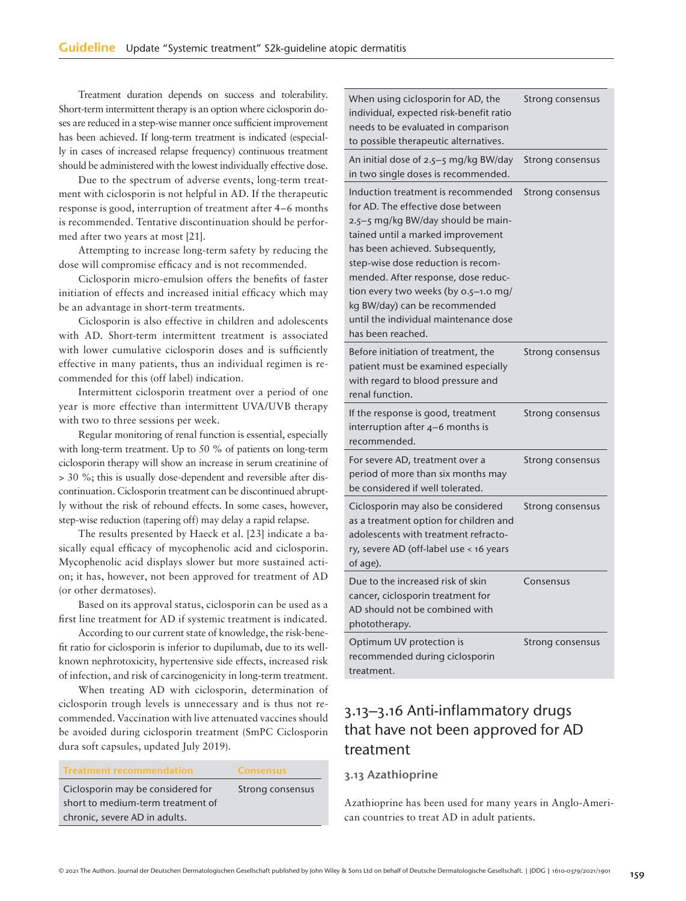Treatment duration depends on success and tolerability. Short-term intermittent therapy is an option where ciclosporin doses are reduced in a step-wise manner once sufficient improvement has been achieved. If long-term treatment is indicated (especially in cases of increased relapse frequency) continuous treatment should be administered with the lowest individually effective dose.

Due to the spectrum of adverse events, long-term treatment with ciclosporin is not helpful in AD. If the therapeutic response is good, interruption of treatment after 4–6 months is recommended. Tentative discontinuation should be performed after two years at most [21].

Attempting to increase long-term safety by reducing the dose will compromise efficacy and is not recommended.

Ciclosporin micro-emulsion offers the benefits of faster initiation of effects and increased initial efficacy which may be an advantage in short-term treatments.

Ciclosporin is also effective in children and adolescents with AD. Short-term intermittent treatment is associated with lower cumulative ciclosporin doses and is sufficiently effective in many patients, thus an individual regimen is recommended for this (off label) indication.

Intermittent ciclosporin treatment over a period of one year is more effective than intermittent UVA/UVB therapy with two to three sessions per week.

Regular monitoring of renal function is essential, especially with long-term treatment. Up to 50 % of patients on long-term ciclosporin therapy will show an increase in serum creatinine of > 30 %; this is usually dose-dependent and reversible after discontinuation. Ciclosporin treatment can be discontinued abruptly without the risk of rebound effects. In some cases, however, step-wise reduction (tapering off) may delay a rapid relapse.

The results presented by Haeck et al. [23] indicate a basically equal efficacy of mycophenolic acid and ciclosporin. Mycophenolic acid displays slower but more sustained action; it has, however, not been approved for treatment of AD (or other dermatoses).

Based on its approval status, ciclosporin can be used as a first line treatment for AD if systemic treatment is indicated.

According to our current state of knowledge, the risk-benefit ratio for ciclosporin is inferior to dupilumab, due to its wellknown nephrotoxicity, hypertensive side effects, increased risk of infection, and risk of carcinogenicity in long-term treatment.

When treating AD with ciclosporin, determination of ciclosporin trough levels is unnecessary and is thus not recommended. Vaccination with live attenuated vaccines should be avoided during ciclosporin treatment (SmPC Ciclosporin dura soft capsules, updated July 2019).

| <b>Treatment recommendation</b>   | <b>Consensus</b> |
|-----------------------------------|------------------|
| Ciclosporin may be considered for | Strong consensus |
| short to medium-term treatment of |                  |
| chronic, severe AD in adults.     |                  |

| When using ciclosporin for AD, the<br>individual, expected risk-benefit ratio<br>needs to be evaluated in comparison<br>to possible therapeutic alternatives.                                                                                                                                                                                                                                               | Strong consensus |
|-------------------------------------------------------------------------------------------------------------------------------------------------------------------------------------------------------------------------------------------------------------------------------------------------------------------------------------------------------------------------------------------------------------|------------------|
| An initial dose of 2.5-5 mg/kg BW/day<br>in two single doses is recommended.                                                                                                                                                                                                                                                                                                                                | Strong consensus |
| Induction treatment is recommended<br>for AD. The effective dose between<br>2.5-5 mg/kg BW/day should be main-<br>tained until a marked improvement<br>has been achieved. Subsequently,<br>step-wise dose reduction is recom-<br>mended. After response, dose reduc-<br>tion every two weeks (by 0.5-1.0 mg/<br>kg BW/day) can be recommended<br>until the individual maintenance dose<br>has been reached. | Strong consensus |
| Before initiation of treatment, the<br>patient must be examined especially<br>with regard to blood pressure and<br>renal function.                                                                                                                                                                                                                                                                          | Strong consensus |
| If the response is good, treatment<br>interruption after $4-6$ months is<br>recommended.                                                                                                                                                                                                                                                                                                                    | Strong consensus |
| For severe AD, treatment over a<br>period of more than six months may<br>be considered if well tolerated.                                                                                                                                                                                                                                                                                                   | Strong consensus |
| Ciclosporin may also be considered<br>as a treatment option for children and<br>adolescents with treatment refracto-<br>ry, severe AD (off-label use < 16 years<br>of age).                                                                                                                                                                                                                                 | Strong consensus |
| Due to the increased risk of skin<br>cancer, ciclosporin treatment for<br>AD should not be combined with<br>phototherapy.                                                                                                                                                                                                                                                                                   | Consensus        |
| Optimum UV protection is<br>recommended during ciclosporin<br>treatment.                                                                                                                                                                                                                                                                                                                                    | Strong consensus |

# 3.13–3.16 Anti-inflammatory drugs that have not been approved for AD treatment

### 3.13 Azathioprine

Azathioprine has been used for many years in Anglo-American countries to treat AD in adult patients.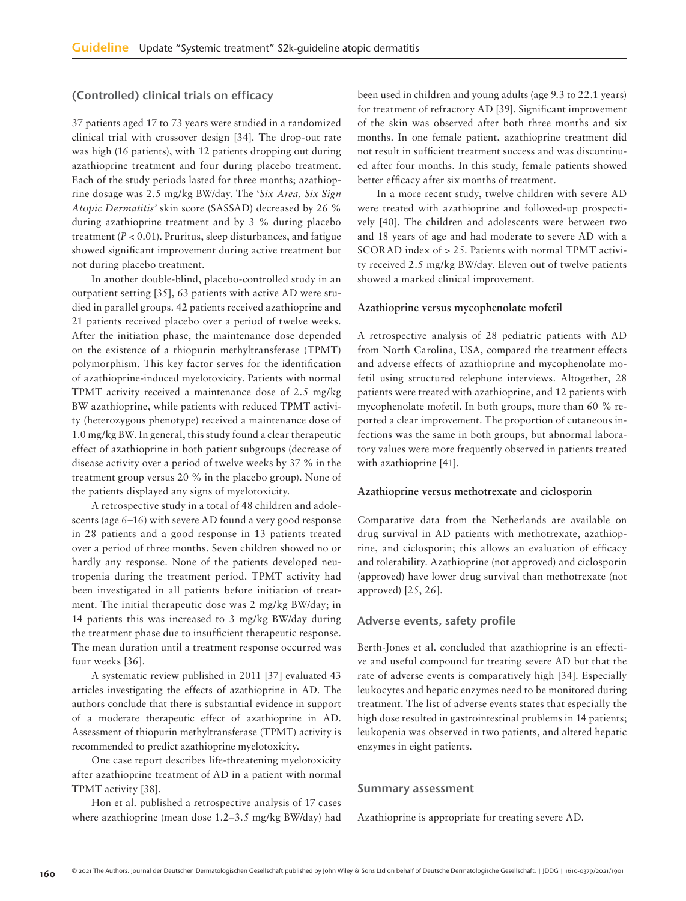### (Controlled) clinical trials on efficacy

37 patients aged 17 to 73 years were studied in a randomized clinical trial with crossover design [34]. The drop-out rate was high (16 patients), with 12 patients dropping out during azathioprine treatment and four during placebo treatment. Each of the study periods lasted for three months; azathioprine dosage was 2.5 mg/kg BW/day. The '*Six Area, Six Sign Atopic Dermatitis'* skin score (SASSAD) decreased by 26 % during azathioprine treatment and by 3 % during placebo treatment (*P* < 0.01). Pruritus, sleep disturbances, and fatigue showed significant improvement during active treatment but not during placebo treatment.

In another double-blind, placebo-controlled study in an outpatient setting [35], 63 patients with active AD were studied in parallel groups. 42 patients received azathioprine and 21 patients received placebo over a period of twelve weeks. After the initiation phase, the maintenance dose depended on the existence of a thiopurin methyltransferase (TPMT) polymorphism. This key factor serves for the identification of azathioprine-induced myelotoxicity. Patients with normal TPMT activity received a maintenance dose of 2.5 mg/kg BW azathioprine, while patients with reduced TPMT activity (heterozygous phenotype) received a maintenance dose of 1.0 mg/kg BW. In general, this study found a clear therapeutic effect of azathioprine in both patient subgroups (decrease of disease activity over a period of twelve weeks by 37 % in the treatment group versus 20 % in the placebo group). None of the patients displayed any signs of myelotoxicity.

A retrospective study in a total of 48 children and adolescents (age 6–16) with severe AD found a very good response in 28 patients and a good response in 13 patients treated over a period of three months. Seven children showed no or hardly any response. None of the patients developed neutropenia during the treatment period. TPMT activity had been investigated in all patients before initiation of treatment. The initial therapeutic dose was 2 mg/kg BW/day; in 14 patients this was increased to 3 mg/kg BW/day during the treatment phase due to insufficient therapeutic response. The mean duration until a treatment response occurred was four weeks [36].

A systematic review published in 2011 [37] evaluated 43 articles investigating the effects of azathioprine in AD. The authors conclude that there is substantial evidence in support of a moderate therapeutic effect of azathioprine in AD. Assessment of thiopurin methyltransferase (TPMT) activity is recommended to predict azathioprine myelotoxicity.

One case report describes life-threatening myelotoxicity after azathioprine treatment of AD in a patient with normal TPMT activity [38].

Hon et al. published a retrospective analysis of 17 cases where azathioprine (mean dose 1.2–3.5 mg/kg BW/day) had been used in children and young adults (age 9.3 to 22.1 years) for treatment of refractory AD [39]. Significant improvement of the skin was observed after both three months and six months. In one female patient, azathioprine treatment did not result in sufficient treatment success and was discontinued after four months. In this study, female patients showed better efficacy after six months of treatment.

In a more recent study, twelve children with severe AD were treated with azathioprine and followed-up prospectively [40]. The children and adolescents were between two and 18 years of age and had moderate to severe AD with a SCORAD index of > 25. Patients with normal TPMT activity received 2.5 mg/kg BW/day. Eleven out of twelve patients showed a marked clinical improvement.

#### **Azathioprine versus mycophenolate mofetil**

A retrospective analysis of 28 pediatric patients with AD from North Carolina, USA, compared the treatment effects and adverse effects of azathioprine and mycophenolate mofetil using structured telephone interviews. Altogether, 28 patients were treated with azathioprine, and 12 patients with mycophenolate mofetil. In both groups, more than 60 % reported a clear improvement. The proportion of cutaneous infections was the same in both groups, but abnormal laboratory values were more frequently observed in patients treated with azathioprine [41].

#### **Azathioprine versus methotrexate and ciclosporin**

Comparative data from the Netherlands are available on drug survival in AD patients with methotrexate, azathioprine, and ciclosporin; this allows an evaluation of efficacy and tolerability. Azathioprine (not approved) and ciclosporin (approved) have lower drug survival than methotrexate (not approved) [25, 26].

#### Adverse events, safety profile

Berth-Jones et al. concluded that azathioprine is an effective and useful compound for treating severe AD but that the rate of adverse events is comparatively high [34]. Especially leukocytes and hepatic enzymes need to be monitored during treatment. The list of adverse events states that especially the high dose resulted in gastrointestinal problems in 14 patients; leukopenia was observed in two patients, and altered hepatic enzymes in eight patients.

#### Summary assessment

Azathioprine is appropriate for treating severe AD.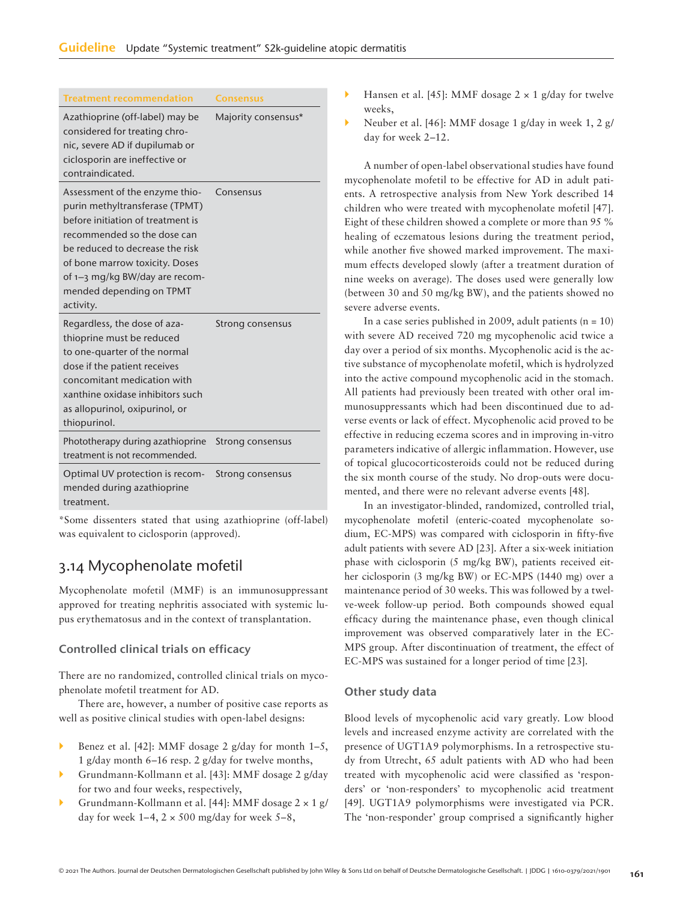| <b>Treatment recommendation</b>                                                                                                                                                                                                                                                      | <b>Consensus</b>    |
|--------------------------------------------------------------------------------------------------------------------------------------------------------------------------------------------------------------------------------------------------------------------------------------|---------------------|
| Azathioprine (off-label) may be<br>considered for treating chro-<br>nic, severe AD if dupilumab or<br>ciclosporin are ineffective or<br>contraindicated.                                                                                                                             | Majority consensus* |
| Assessment of the enzyme thio-<br>purin methyltransferase (TPMT)<br>before initiation of treatment is<br>recommended so the dose can<br>be reduced to decrease the risk<br>of bone marrow toxicity. Doses<br>of 1-3 mg/kg BW/day are recom-<br>mended depending on TPMT<br>activity. | Consensus           |
| Regardless, the dose of aza-<br>thioprine must be reduced<br>to one-quarter of the normal<br>dose if the patient receives<br>concomitant medication with<br>xanthine oxidase inhibitors such<br>as allopurinol, oxipurinol, or<br>thiopurinol.                                       | Strong consensus    |
| Phototherapy during azathioprine<br>treatment is not recommended.                                                                                                                                                                                                                    | Strong consensus    |
| Optimal UV protection is recom-<br>mended during azathioprine                                                                                                                                                                                                                        | Strong consensus    |

treatment.

\*Some dissenters stated that using azathioprine (off-label) was equivalent to ciclosporin (approved).

# 3.14 Mycophenolate mofetil

Mycophenolate mofetil (MMF) is an immunosuppressant approved for treating nephritis associated with systemic lupus erythematosus and in the context of transplantation.

### Controlled clinical trials on efficacy

There are no randomized, controlled clinical trials on mycophenolate mofetil treatment for AD.

There are, however, a number of positive case reports as well as positive clinical studies with open-label designs:

- Benez et al. [42]: MMF dosage 2 g/day for month 1–5, 1 g/day month 6–16 resp. 2 g/day for twelve months,
- Grundmann-Kollmann et al. [43]: MMF dosage 2 g/day for two and four weeks, respectively,
- Grundmann-Kollmann et al. [44]: MMF dosage 2 × 1 g/ day for week  $1-4$ ,  $2 \times 500$  mg/day for week  $5-8$ ,
- Hansen et al. [45]: MMF dosage  $2 \times 1$  g/day for twelve weeks,
- Neuber et al. [46]: MMF dosage 1 g/day in week 1, 2 g/ day for week 2–12.

A number of open-label observational studies have found mycophenolate mofetil to be effective for AD in adult patients. A retrospective analysis from New York described 14 children who were treated with mycophenolate mofetil [47]. Eight of these children showed a complete or more than 95 % healing of eczematous lesions during the treatment period, while another five showed marked improvement. The maximum effects developed slowly (after a treatment duration of nine weeks on average). The doses used were generally low (between 30 and 50 mg/kg BW), and the patients showed no severe adverse events.

In a case series published in 2009, adult patients  $(n = 10)$ with severe AD received 720 mg mycophenolic acid twice a day over a period of six months. Mycophenolic acid is the active substance of mycophenolate mofetil, which is hydrolyzed into the active compound mycophenolic acid in the stomach. All patients had previously been treated with other oral immunosuppressants which had been discontinued due to adverse events or lack of effect. Mycophenolic acid proved to be effective in reducing eczema scores and in improving in-vitro parameters indicative of allergic inflammation. However, use of topical glucocorticosteroids could not be reduced during the six month course of the study. No drop-outs were documented, and there were no relevant adverse events [48].

In an investigator-blinded, randomized, controlled trial, mycophenolate mofetil (enteric-coated mycophenolate sodium, EC-MPS) was compared with ciclosporin in fifty-five adult patients with severe AD [23]. After a six-week initiation phase with ciclosporin (5 mg/kg BW), patients received either ciclosporin (3 mg/kg BW) or EC-MPS (1440 mg) over a maintenance period of 30 weeks. This was followed by a twelve-week follow-up period. Both compounds showed equal efficacy during the maintenance phase, even though clinical improvement was observed comparatively later in the EC-MPS group. After discontinuation of treatment, the effect of EC-MPS was sustained for a longer period of time [23].

### Other study data

Blood levels of mycophenolic acid vary greatly. Low blood levels and increased enzyme activity are correlated with the presence of UGT1A9 polymorphisms. In a retrospective study from Utrecht, 65 adult patients with AD who had been treated with mycophenolic acid were classified as 'responders' or 'non-responders' to mycophenolic acid treatment [49]. UGT1A9 polymorphisms were investigated via PCR. The 'non-responder' group comprised a significantly higher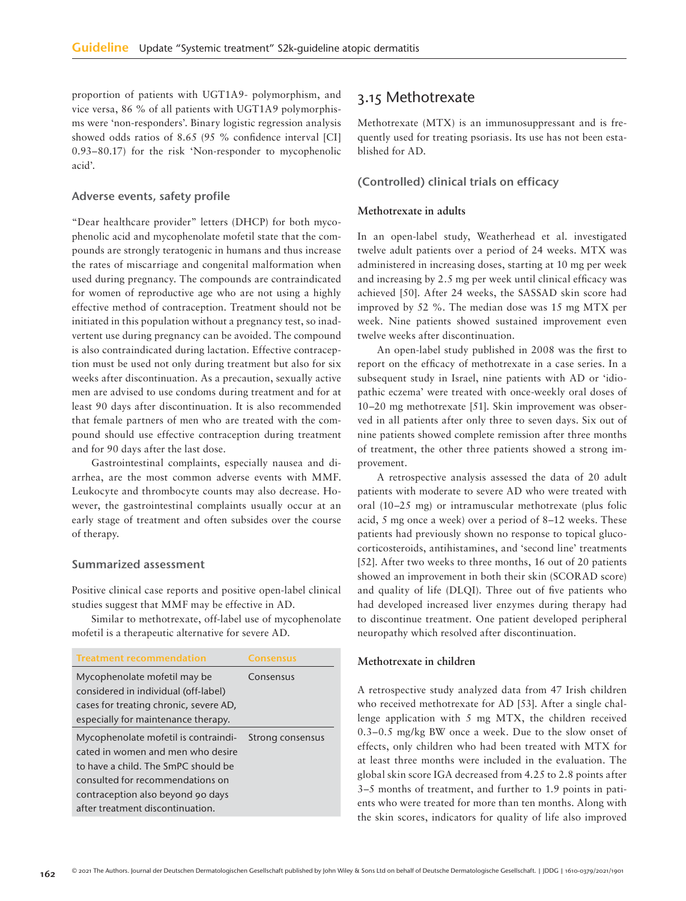proportion of patients with UGT1A9- polymorphism, and vice versa, 86 % of all patients with UGT1A9 polymorphisms were 'non-responders'. Binary logistic regression analysis showed odds ratios of 8.65 (95 % confidence interval [CI] 0.93–80.17) for the risk 'Non-responder to mycophenolic acid'.

### Adverse events, safety profile

"Dear healthcare provider" letters (DHCP) for both mycophenolic acid and mycophenolate mofetil state that the compounds are strongly teratogenic in humans and thus increase the rates of miscarriage and congenital malformation when used during pregnancy. The compounds are contraindicated for women of reproductive age who are not using a highly effective method of contraception. Treatment should not be initiated in this population without a pregnancy test, so inadvertent use during pregnancy can be avoided. The compound is also contraindicated during lactation. Effective contraception must be used not only during treatment but also for six weeks after discontinuation. As a precaution, sexually active men are advised to use condoms during treatment and for at least 90 days after discontinuation. It is also recommended that female partners of men who are treated with the compound should use effective contraception during treatment and for 90 days after the last dose.

Gastrointestinal complaints, especially nausea and diarrhea, are the most common adverse events with MMF. Leukocyte and thrombocyte counts may also decrease. However, the gastrointestinal complaints usually occur at an early stage of treatment and often subsides over the course of therapy.

#### Summarized assessment

Positive clinical case reports and positive open-label clinical studies suggest that MMF may be effective in AD.

Similar to methotrexate, off-label use of mycophenolate mofetil is a therapeutic alternative for severe AD.

| <b>Treatment recommendation</b>        | Consensus        |
|----------------------------------------|------------------|
| Mycophenolate mofetil may be           | Consensus        |
| considered in individual (off-label)   |                  |
| cases for treating chronic, severe AD, |                  |
| especially for maintenance therapy.    |                  |
| Mycophenolate mofetil is contraindi-   | Strong consensus |
| cated in women and men who desire      |                  |
| to have a child. The SmPC should be    |                  |
| consulted for recommendations on       |                  |
| contraception also beyond 90 days      |                  |
| after treatment discontinuation.       |                  |

## 3.15 Methotrexate

Methotrexate (MTX) is an immunosuppressant and is frequently used for treating psoriasis. Its use has not been established for AD.

### (Controlled) clinical trials on efficacy

### **Methotrexate in adults**

In an open-label study, Weatherhead et al. investigated twelve adult patients over a period of 24 weeks. MTX was administered in increasing doses, starting at 10 mg per week and increasing by 2.5 mg per week until clinical efficacy was achieved [50]. After 24 weeks, the SASSAD skin score had improved by 52 %. The median dose was 15 mg MTX per week. Nine patients showed sustained improvement even twelve weeks after discontinuation.

An open-label study published in 2008 was the first to report on the efficacy of methotrexate in a case series. In a subsequent study in Israel, nine patients with AD or 'idiopathic eczema' were treated with once-weekly oral doses of 10–20 mg methotrexate [51]. Skin improvement was observed in all patients after only three to seven days. Six out of nine patients showed complete remission after three months of treatment, the other three patients showed a strong improvement.

A retrospective analysis assessed the data of 20 adult patients with moderate to severe AD who were treated with oral (10–25 mg) or intramuscular methotrexate (plus folic acid, 5 mg once a week) over a period of 8–12 weeks. These patients had previously shown no response to topical glucocorticosteroids, antihistamines, and 'second line' treatments [52]. After two weeks to three months, 16 out of 20 patients showed an improvement in both their skin (SCORAD score) and quality of life (DLQI). Three out of five patients who had developed increased liver enzymes during therapy had to discontinue treatment. One patient developed peripheral neuropathy which resolved after discontinuation.

### **Methotrexate in children**

A retrospective study analyzed data from 47 Irish children who received methotrexate for AD [53]. After a single challenge application with 5 mg MTX, the children received 0.3–0.5 mg/kg BW once a week. Due to the slow onset of effects, only children who had been treated with MTX for at least three months were included in the evaluation. The global skin score IGA decreased from 4.25 to 2.8 points after 3–5 months of treatment, and further to 1.9 points in patients who were treated for more than ten months. Along with the skin scores, indicators for quality of life also improved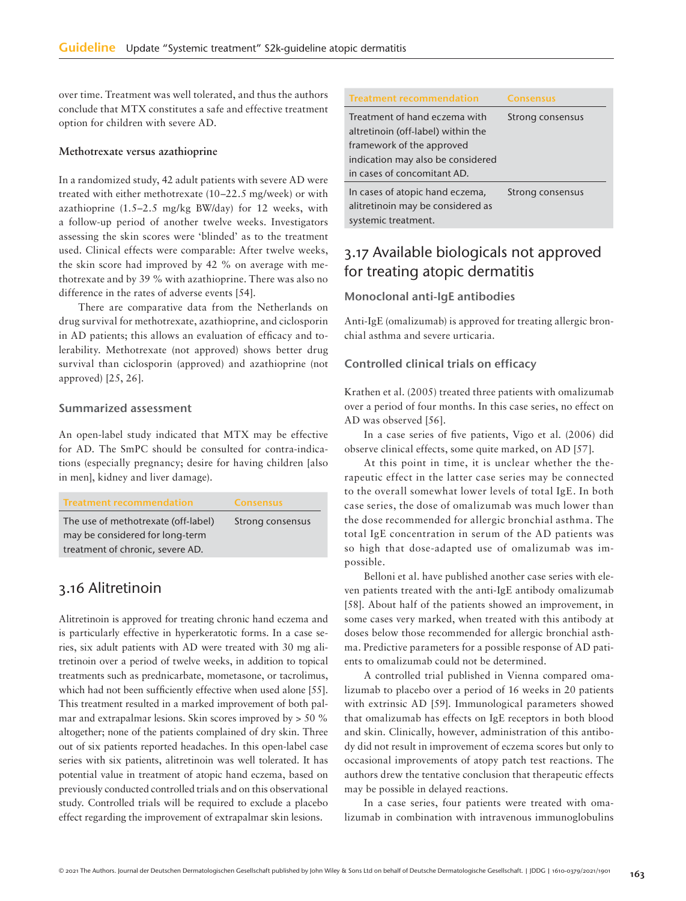over time. Treatment was well tolerated, and thus the authors conclude that MTX constitutes a safe and effective treatment option for children with severe AD.

#### **Methotrexate versus azathioprine**

In a randomized study, 42 adult patients with severe AD were treated with either methotrexate (10–22.5 mg/week) or with azathioprine (1.5–2.5 mg/kg BW/day) for 12 weeks, with a follow-up period of another twelve weeks. Investigators assessing the skin scores were 'blinded' as to the treatment used. Clinical effects were comparable: After twelve weeks, the skin score had improved by 42 % on average with methotrexate and by 39 % with azathioprine. There was also no difference in the rates of adverse events [54].

There are comparative data from the Netherlands on drug survival for methotrexate, azathioprine, and ciclosporin in AD patients; this allows an evaluation of efficacy and tolerability. Methotrexate (not approved) shows better drug survival than ciclosporin (approved) and azathioprine (not approved) [25, 26].

### Summarized assessment

An open-label study indicated that MTX may be effective for AD. The SmPC should be consulted for contra-indications (especially pregnancy; desire for having children [also in men], kidney and liver damage).

| <b>Treatment recommendation</b>     | <b>Consensus</b> |
|-------------------------------------|------------------|
| The use of methotrexate (off-label) | Strong consensus |
| may be considered for long-term     |                  |
| treatment of chronic, severe AD.    |                  |

# 3.16 Alitretinoin

Alitretinoin is approved for treating chronic hand eczema and is particularly effective in hyperkeratotic forms. In a case series, six adult patients with AD were treated with 30 mg alitretinoin over a period of twelve weeks, in addition to topical treatments such as prednicarbate, mometasone, or tacrolimus, which had not been sufficiently effective when used alone [55]. This treatment resulted in a marked improvement of both palmar and extrapalmar lesions. Skin scores improved by > 50 % altogether; none of the patients complained of dry skin. Three out of six patients reported headaches. In this open-label case series with six patients, alitretinoin was well tolerated. It has potential value in treatment of atopic hand eczema, based on previously conducted controlled trials and on this observational study. Controlled trials will be required to exclude a placebo effect regarding the improvement of extrapalmar skin lesions.

| <b>Treatment recommendation</b>    | <b>Consensus</b> |
|------------------------------------|------------------|
| Treatment of hand eczema with      | Strong consensus |
| altretinoin (off-label) within the |                  |
| framework of the approved          |                  |
| indication may also be considered  |                  |
| in cases of concomitant AD.        |                  |
| In cases of atopic hand eczema,    | Strong consensus |
| alitretinoin may be considered as  |                  |
| systemic treatment.                |                  |

# 3.17 Available biologicals not approved for treating atopic dermatitis

### Monoclonal anti-IgE antibodies

Anti-IgE (omalizumab) is approved for treating allergic bronchial asthma and severe urticaria.

### Controlled clinical trials on efficacy

Krathen et al. (2005) treated three patients with omalizumab over a period of four months. In this case series, no effect on AD was observed [56].

In a case series of five patients, Vigo et al. (2006) did observe clinical effects, some quite marked, on AD [57].

At this point in time, it is unclear whether the therapeutic effect in the latter case series may be connected to the overall somewhat lower levels of total IgE. In both case series, the dose of omalizumab was much lower than the dose recommended for allergic bronchial asthma. The total IgE concentration in serum of the AD patients was so high that dose-adapted use of omalizumab was impossible.

Belloni et al. have published another case series with eleven patients treated with the anti-IgE antibody omalizumab [58]. About half of the patients showed an improvement, in some cases very marked, when treated with this antibody at doses below those recommended for allergic bronchial asthma. Predictive parameters for a possible response of AD patients to omalizumab could not be determined.

A controlled trial published in Vienna compared omalizumab to placebo over a period of 16 weeks in 20 patients with extrinsic AD [59]. Immunological parameters showed that omalizumab has effects on IgE receptors in both blood and skin. Clinically, however, administration of this antibody did not result in improvement of eczema scores but only to occasional improvements of atopy patch test reactions. The authors drew the tentative conclusion that therapeutic effects may be possible in delayed reactions.

In a case series, four patients were treated with omalizumab in combination with intravenous immunoglobulins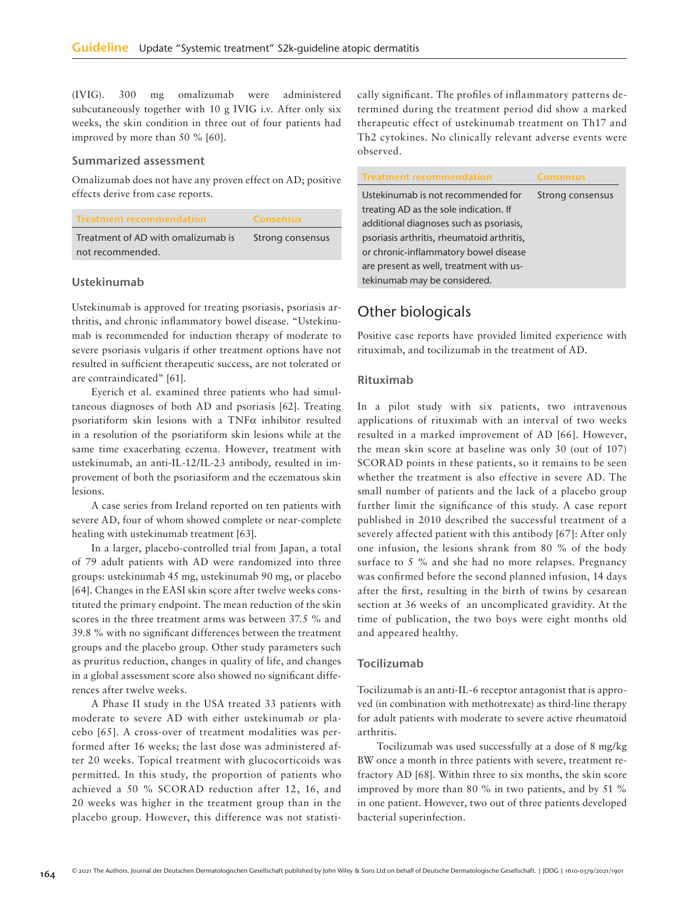(IVIG). 300 mg omalizumab were administered subcutaneously together with 10 g IVIG i.v. After only six weeks, the skin condition in three out of four patients had improved by more than 50 % [60].

#### Summarized assessment

Omalizumab does not have any proven effect on AD; positive effects derive from case reports.

| <b>Treatment recommendation</b>    | <b>Consensus</b> |
|------------------------------------|------------------|
| Treatment of AD with omalizumab is | Strong consensus |
| not recommended.                   |                  |

### Ustekinumab

Ustekinumab is approved for treating psoriasis, psoriasis arthritis, and chronic inflammatory bowel disease. "Ustekinumab is recommended for induction therapy of moderate to severe psoriasis vulgaris if other treatment options have not resulted in sufficient therapeutic success, are not tolerated or are contraindicated" [61].

Eyerich et al. examined three patients who had simultaneous diagnoses of both AD and psoriasis [62]. Treating psoriatiform skin lesions with a TNFα inhibitor resulted in a resolution of the psoriatiform skin lesions while at the same time exacerbating eczema. However, treatment with ustekinumab, an anti-IL-12/IL-23 antibody, resulted in improvement of both the psoriasiform and the eczematous skin lesions.

A case series from Ireland reported on ten patients with severe AD, four of whom showed complete or near-complete healing with ustekinumab treatment [63].

In a larger, placebo-controlled trial from Japan, a total of 79 adult patients with AD were randomized into three groups: ustekinumab 45 mg, ustekinumab 90 mg, or placebo [64]. Changes in the EASI skin score after twelve weeks constituted the primary endpoint. The mean reduction of the skin scores in the three treatment arms was between 37.5 % and 39.8 % with no significant differences between the treatment groups and the placebo group. Other study parameters such as pruritus reduction, changes in quality of life, and changes in a global assessment score also showed no significant differences after twelve weeks.

A Phase II study in the USA treated 33 patients with moderate to severe AD with either ustekinumab or placebo [65]. A cross-over of treatment modalities was performed after 16 weeks; the last dose was administered after 20 weeks. Topical treatment with glucocorticoids was permitted. In this study, the proportion of patients who achieved a 50 % SCORAD reduction after 12, 16, and 20 weeks was higher in the treatment group than in the placebo group. However, this difference was not statistically significant. The profiles of inflammatory patterns determined during the treatment period did show a marked therapeutic effect of ustekinumab treatment on Th17 and Th2 cytokines. No clinically relevant adverse events were observed.

| <b>Treatment recommendation</b>            | <b>Consensus</b> |
|--------------------------------------------|------------------|
| Ustekinumab is not recommended for         | Strong consensus |
| treating AD as the sole indication. If     |                  |
| additional diagnoses such as psoriasis,    |                  |
| psoriasis arthritis, rheumatoid arthritis, |                  |
| or chronic-inflammatory bowel disease      |                  |
| are present as well, treatment with us-    |                  |
| tekinumab may be considered.               |                  |

# Other biologicals

Positive case reports have provided limited experience with rituximab, and tocilizumab in the treatment of AD.

#### Rituximab

In a pilot study with six patients, two intravenous applications of rituximab with an interval of two weeks resulted in a marked improvement of AD [66]. However, the mean skin score at baseline was only 30 (out of 107) SCORAD points in these patients, so it remains to be seen whether the treatment is also effective in severe AD. The small number of patients and the lack of a placebo group further limit the significance of this study. A case report published in 2010 described the successful treatment of a severely affected patient with this antibody [67]: After only one infusion, the lesions shrank from 80 % of the body surface to 5 % and she had no more relapses. Pregnancy was confirmed before the second planned infusion, 14 days after the first, resulting in the birth of twins by cesarean section at 36 weeks of an uncomplicated gravidity. At the time of publication, the two boys were eight months old and appeared healthy.

### Tocilizumab

Tocilizumab is an anti-IL-6 receptor antagonist that is approved (in combination with methotrexate) as third-line therapy for adult patients with moderate to severe active rheumatoid arthritis.

Tocilizumab was used successfully at a dose of 8 mg/kg BW once a month in three patients with severe, treatment refractory AD [68]. Within three to six months, the skin score improved by more than 80 % in two patients, and by 51 % in one patient. However, two out of three patients developed bacterial superinfection.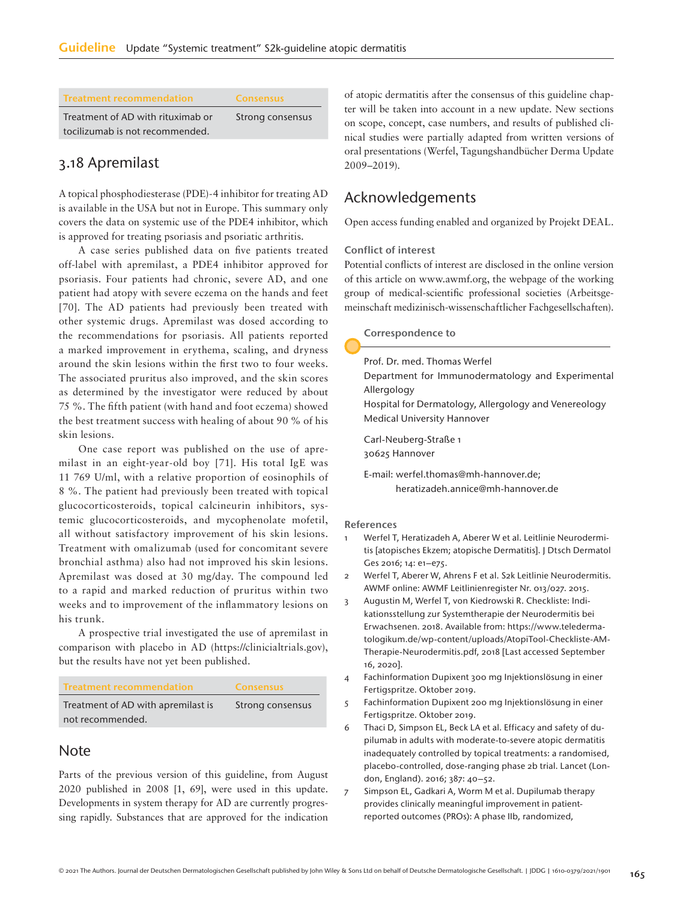| <b>Treatment recommendation</b>   | <b>Consensus</b> |
|-----------------------------------|------------------|
| Treatment of AD with rituximab or | Strong consensus |
| tocilizumab is not recommended.   |                  |

# 3.18 Apremilast

A topical phosphodiesterase (PDE)-4 inhibitor for treating AD is available in the USA but not in Europe. This summary only covers the data on systemic use of the PDE4 inhibitor, which is approved for treating psoriasis and psoriatic arthritis.

A case series published data on five patients treated off-label with apremilast, a PDE4 inhibitor approved for psoriasis. Four patients had chronic, severe AD, and one patient had atopy with severe eczema on the hands and feet [70]. The AD patients had previously been treated with other systemic drugs. Apremilast was dosed according to the recommendations for psoriasis. All patients reported a marked improvement in erythema, scaling, and dryness around the skin lesions within the first two to four weeks. The associated pruritus also improved, and the skin scores as determined by the investigator were reduced by about 75 %. The fifth patient (with hand and foot eczema) showed the best treatment success with healing of about 90 % of his skin lesions.

One case report was published on the use of apremilast in an eight-year-old boy [71]. His total IgE was 11 769 U/ml, with a relative proportion of eosinophils of 8 %. The patient had previously been treated with topical glucocorticosteroids, topical calcineurin inhibitors, systemic glucocorticosteroids, and mycophenolate mofetil, all without satisfactory improvement of his skin lesions. Treatment with omalizumab (used for concomitant severe bronchial asthma) also had not improved his skin lesions. Apremilast was dosed at 30 mg/day. The compound led to a rapid and marked reduction of pruritus within two weeks and to improvement of the inflammatory lesions on his trunk.

A prospective trial investigated the use of apremilast in comparison with placebo in AD (https://clinicialtrials.gov), but the results have not yet been published.

| <b>Treatment recommendation</b>    | <b>Consensus</b> |
|------------------------------------|------------------|
| Treatment of AD with apremilast is | Strong consensus |
| not recommended.                   |                  |

# Note

Parts of the previous version of this guideline, from August 2020 published in 2008 [1, 69], were used in this update. Developments in system therapy for AD are currently progressing rapidly. Substances that are approved for the indication of atopic dermatitis after the consensus of this guideline chapter will be taken into account in a new update. New sections on scope, concept, case numbers, and results of published clinical studies were partially adapted from written versions of oral presentations (Werfel, Tagungshandbücher Derma Update 2009–2019).

# Acknowledgements

Open access funding enabled and organized by Projekt DEAL.

### Conflict of interest

Potential conflicts of interest are disclosed in the online version of this article on www.awmf.org, the webpage of the working group of medical-scientific professional societies (Arbeitsgemeinschaft medizinisch-wissenschaftlicher Fachgesellschaften).

#### Correspondence to

Prof. Dr. med. Thomas Werfel

Department for Immunodermatology and Experimental Allergology

Hospital for Dermatology, Allergology and Venereology Medical University Hannover

Carl-Neuberg-Straße 1 30625 Hannover

E-mail: werfel.thomas@mh-hannover.de; heratizadeh.annice@mh-hannover.de

#### References

- 1 Werfel T, Heratizadeh A, Aberer W et al. Leitlinie Neurodermitis [atopisches Ekzem; atopische Dermatitis]. J Dtsch Dermatol Ges 2016; 14: e1–e75.
- 2 Werfel T, Aberer W, Ahrens F et al. S2k Leitlinie Neurodermitis. AWMF online: AWMF Leitlinienregister Nr. 013/027. 2015.
- 3 Augustin M, Werfel T, von Kiedrowski R. Checkliste: Indikationsstellung zur Systemtherapie der Neurodermitis bei Erwachsenen. 2018. Available from: https://www.teledermatologikum.de/wp-content/uploads/AtopiTool-Checkliste-AM-Therapie-Neurodermitis.pdf, 2018 [Last accessed September 16, 2020].
- 4 Fachinformation Dupixent 300 mg Injektionslösung in einer Fertigspritze. Oktober 2019.
- 5 Fachinformation Dupixent 200 mg Injektionslösung in einer Fertigspritze. Oktober 2019.
- 6 Thaci D, Simpson EL, Beck LA et al. Efficacy and safety of dupilumab in adults with moderate-to-severe atopic dermatitis inadequately controlled by topical treatments: a randomised, placebo-controlled, dose-ranging phase 2b trial. Lancet (London, England). 2016; 387: 40–52.
- 7 Simpson EL, Gadkari A, Worm M et al. Dupilumab therapy provides clinically meaningful improvement in patientreported outcomes (PROs): A phase IIb, randomized,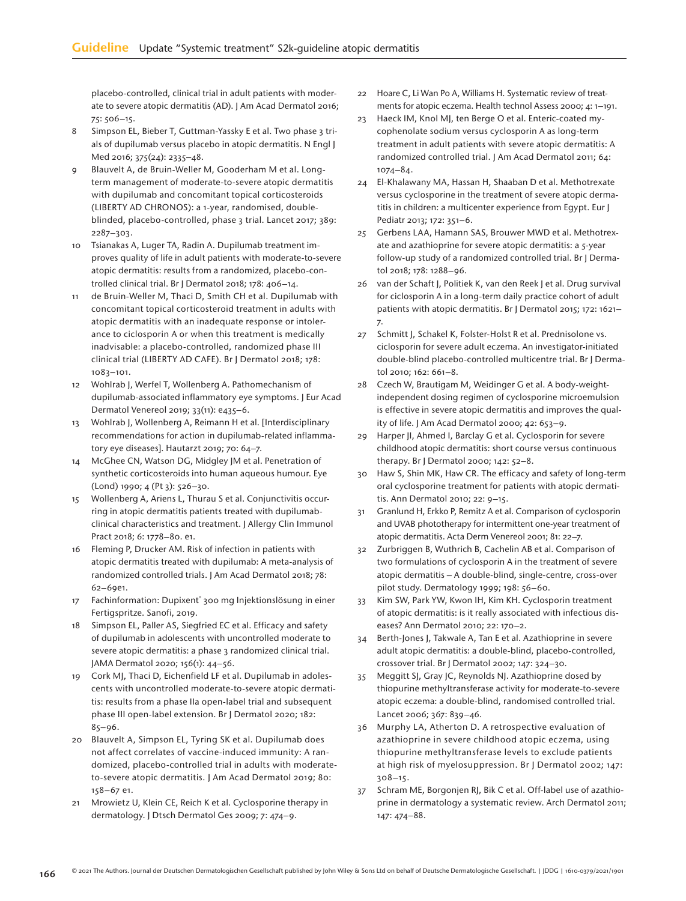placebo-controlled, clinical trial in adult patients with moderate to severe atopic dermatitis (AD). J Am Acad Dermatol 2016; 75: 506–15.

- 8 Simpson EL, Bieber T, Guttman-Yassky E et al. Two phase 3 trials of dupilumab versus placebo in atopic dermatitis. N Engl J Med 2016; 375(24): 2335–48.
- 9 Blauvelt A, de Bruin-Weller M, Gooderham M et al. Longterm management of moderate-to-severe atopic dermatitis with dupilumab and concomitant topical corticosteroids (LIBERTY AD CHRONOS): a 1-year, randomised, doubleblinded, placebo-controlled, phase 3 trial. Lancet 2017; 389: 2287–303.
- 10 Tsianakas A, Luger TA, Radin A. Dupilumab treatment improves quality of life in adult patients with moderate-to-severe atopic dermatitis: results from a randomized, placebo-controlled clinical trial. Br J Dermatol 2018; 178: 406–14.
- de Bruin-Weller M, Thaci D, Smith CH et al. Dupilumab with concomitant topical corticosteroid treatment in adults with atopic dermatitis with an inadequate response or intolerance to ciclosporin A or when this treatment is medically inadvisable: a placebo-controlled, randomized phase III clinical trial (LIBERTY AD CAFE). Br J Dermatol 2018; 178: 1083–101.
- 12 Wohlrab J, Werfel T, Wollenberg A. Pathomechanism of dupilumab-associated inflammatory eye symptoms. J Eur Acad Dermatol Venereol 2019; 33(11): e435–6.
- 13 Wohlrab J, Wollenberg A, Reimann H et al. [Interdisciplinary recommendations for action in dupilumab-related inflammatory eye diseases]. Hautarzt 2019; 70: 64–7.
- 14 McGhee CN, Watson DG, Midgley JM et al. Penetration of synthetic corticosteroids into human aqueous humour. Eye (Lond) 1990; 4 (Pt 3): 526–30.
- 15 Wollenberg A, Ariens L, Thurau S et al. Conjunctivitis occurring in atopic dermatitis patients treated with dupilumabclinical characteristics and treatment. J Allergy Clin Immunol Pract 2018; 6: 1778–80. e1.
- 16 Fleming P, Drucker AM. Risk of infection in patients with atopic dermatitis treated with dupilumab: A meta-analysis of randomized controlled trials. J Am Acad Dermatol 2018; 78: 62–69e1.
- 17 Fachinformation: Dupixent® 300 mg Injektionslösung in einer Fertigspritze. Sanofi, 2019.
- 18 Simpson EL, Paller AS, Siegfried EC et al. Efficacy and safety of dupilumab in adolescents with uncontrolled moderate to severe atopic dermatitis: a phase 3 randomized clinical trial. JAMA Dermatol 2020; 156(1): 44–56.
- 19 Cork MJ, Thaci D, Eichenfield LF et al. Dupilumab in adolescents with uncontrolled moderate-to-severe atopic dermatitis: results from a phase IIa open-label trial and subsequent phase III open-label extension. Br J Dermatol 2020; 182: 85–96.
- 20 Blauvelt A, Simpson EL, Tyring SK et al. Dupilumab does not affect correlates of vaccine-induced immunity: A randomized, placebo-controlled trial in adults with moderateto-severe atopic dermatitis. J Am Acad Dermatol 2019; 80: 158–67 e1.
- 21 Mrowietz U, Klein CE, Reich K et al. Cyclosporine therapy in dermatology. J Dtsch Dermatol Ges 2009; 7: 474–9.
- 22 Hoare C, Li Wan Po A, Williams H. Systematic review of treatments for atopic eczema. Health technol Assess 2000; 4: 1–191.
- 23 Haeck IM, Knol MJ, ten Berge O et al. Enteric-coated mycophenolate sodium versus cyclosporin A as long-term treatment in adult patients with severe atopic dermatitis: A randomized controlled trial. J Am Acad Dermatol 2011; 64: 1074–84.
- 24 El-Khalawany MA, Hassan H, Shaaban D et al. Methotrexate versus cyclosporine in the treatment of severe atopic dermatitis in children: a multicenter experience from Egypt. Eur J Pediatr 2013; 172: 351–6.
- 25 Gerbens LAA, Hamann SAS, Brouwer MWD et al. Methotrexate and azathioprine for severe atopic dermatitis: a 5-year follow-up study of a randomized controlled trial. Br | Dermatol 2018; 178: 1288–96.
- 26 van der Schaft J, Politiek K, van den Reek J et al. Drug survival for ciclosporin A in a long-term daily practice cohort of adult patients with atopic dermatitis. Br J Dermatol 2015; 172: 1621– 7.
- 27 Schmitt J, Schakel K, Folster-Holst R et al. Prednisolone vs. ciclosporin for severe adult eczema. An investigator-initiated double-blind placebo-controlled multicentre trial. Br J Dermatol 2010; 162: 661–8.
- 28 Czech W, Brautigam M, Weidinger G et al. A body-weightindependent dosing regimen of cyclosporine microemulsion is effective in severe atopic dermatitis and improves the quality of life. J Am Acad Dermatol 2000; 42: 653–9.
- 29 Harper JI, Ahmed I, Barclay G et al. Cyclosporin for severe childhood atopic dermatitis: short course versus continuous therapy. Br J Dermatol 2000; 142: 52–8.
- 30 Haw S, Shin MK, Haw CR. The efficacy and safety of long-term oral cyclosporine treatment for patients with atopic dermatitis. Ann Dermatol 2010; 22: 9–15.
- 31 Granlund H, Erkko P, Remitz A et al. Comparison of cyclosporin and UVAB phototherapy for intermittent one-year treatment of atopic dermatitis. Acta Derm Venereol 2001; 81: 22–7.
- 32 Zurbriggen B, Wuthrich B, Cachelin AB et al. Comparison of two formulations of cyclosporin A in the treatment of severe atopic dermatitis – A double-blind, single-centre, cross-over pilot study. Dermatology 1999; 198: 56–60.
- 33 Kim SW, Park YW, Kwon IH, Kim KH. Cyclosporin treatment of atopic dermatitis: is it really associated with infectious diseases? Ann Dermatol 2010; 22: 170–2.
- 34 Berth-Jones J, Takwale A, Tan E et al. Azathioprine in severe adult atopic dermatitis: a double-blind, placebo-controlled, crossover trial. Br J Dermatol 2002; 147: 324–30.
- 35 Meggitt SJ, Gray JC, Reynolds NJ. Azathioprine dosed by thiopurine methyltransferase activity for moderate-to-severe atopic eczema: a double-blind, randomised controlled trial. Lancet 2006; 367: 839–46.
- 36 Murphy LA, Atherton D. A retrospective evaluation of azathioprine in severe childhood atopic eczema, using thiopurine methyltransferase levels to exclude patients at high risk of myelosuppression. Br J Dermatol 2002; 147: 308–15.
- 37 Schram ME, Borgonjen RJ, Bik C et al. Off-label use of azathioprine in dermatology a systematic review. Arch Dermatol 2011; 147: 474–88.